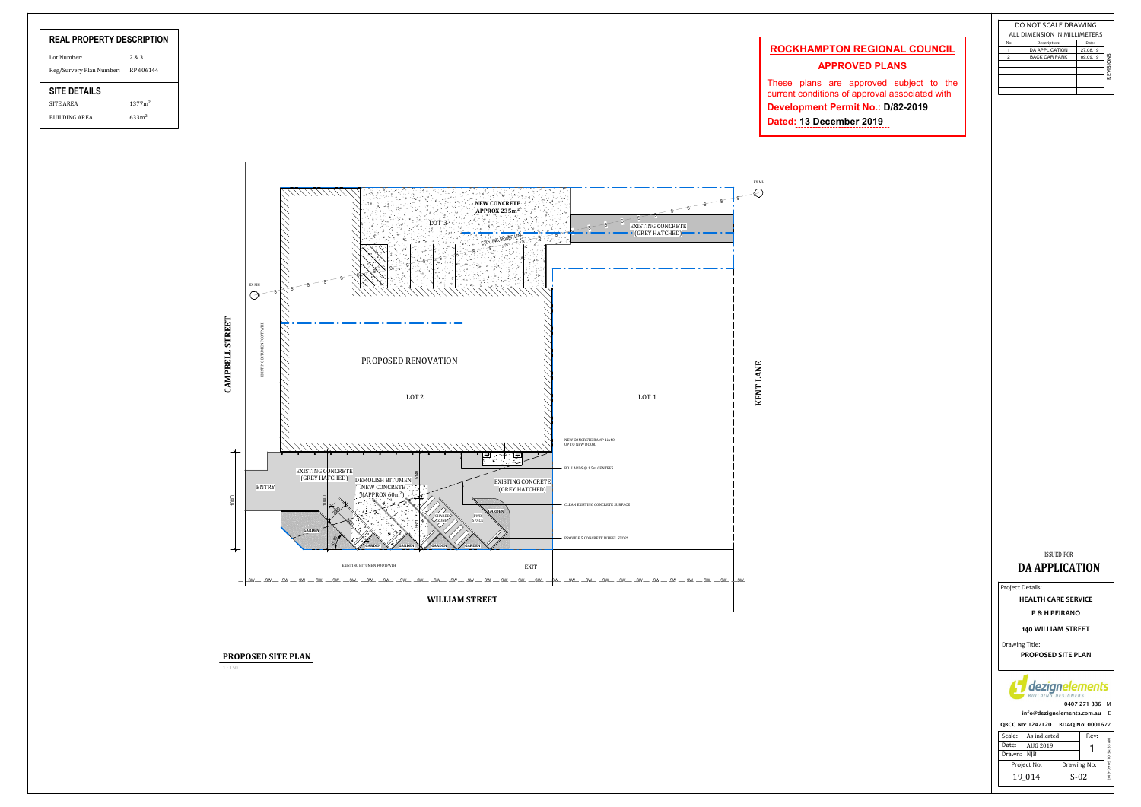|             | Scale: As indicated |             | Rev: |                        |
|-------------|---------------------|-------------|------|------------------------|
| Date:       | AUG 2019            |             |      |                        |
| Drawn: NIB  |                     |             |      |                        |
| Project No: |                     | Drawing No: |      | 2019-09-09 10:58:35 AM |
|             | 19 014              | $S-02$      |      |                        |
|             |                     |             |      |                        |



| <b>REAL PROPERTY DESCRIPTION</b> |                    |  |
|----------------------------------|--------------------|--|
| Lot Number:                      | 2 & 3              |  |
| Reg/Survery Plan Number:         | RP 606144          |  |
| <b>SITE DETAILS</b>              |                    |  |
| <b>SITE AREA</b>                 | 1377m <sup>2</sup> |  |
| <b>BUILDING AREA</b>             | 633m <sup>2</sup>  |  |

## ISSUED FORDA APPLICATION

QBCC No: 1247120 BDAQ No: 0001677 info@dezignelements.com.au E



Project Details:

| DO NOT SCALE DRAWING         |                       |          |           |  |
|------------------------------|-----------------------|----------|-----------|--|
| ALL DIMENSION IN MILLIMETERS |                       |          |           |  |
| No:                          | Description:          | Date:    |           |  |
|                              | <b>DA APPLICATION</b> | 27.08.19 |           |  |
| $\overline{a}$               | <b>BACK CAR PARK</b>  | 09.09.19 |           |  |
|                              |                       |          | REVISIONS |  |
|                              |                       |          |           |  |
|                              |                       |          |           |  |
|                              |                       |          |           |  |
|                              |                       |          |           |  |

140 WILLIAM STREET

Drawing Title: .<br>PROPOSED SITE PLAN

HEALTH CARE SERVICE

P & H PEIRANO

1 : 150

PROPOSED SITE PLAN

## **ROCKHAMPTON REGIONAL COUNCIL**

## **APPROVED PLANS**

These plans are approved subject to the current conditions of approval associated with **Development Permit No . : D /82 -20 1 9 Date d: 1 3 December 2019**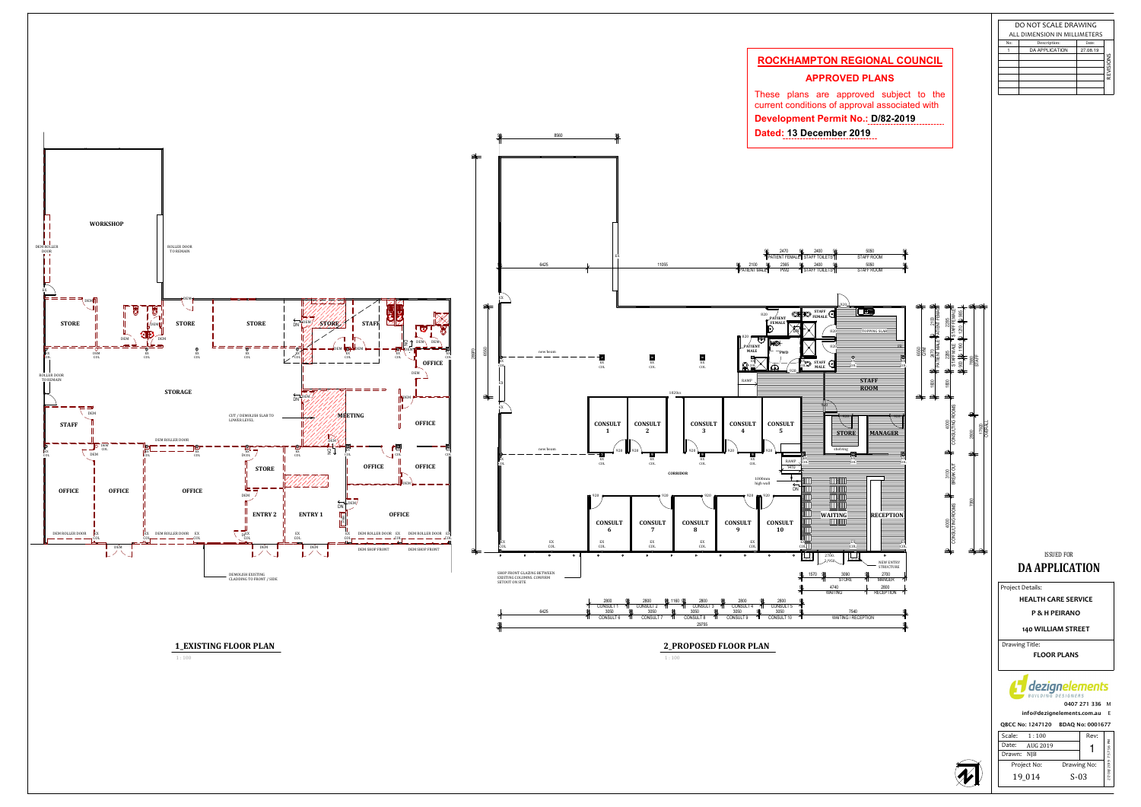